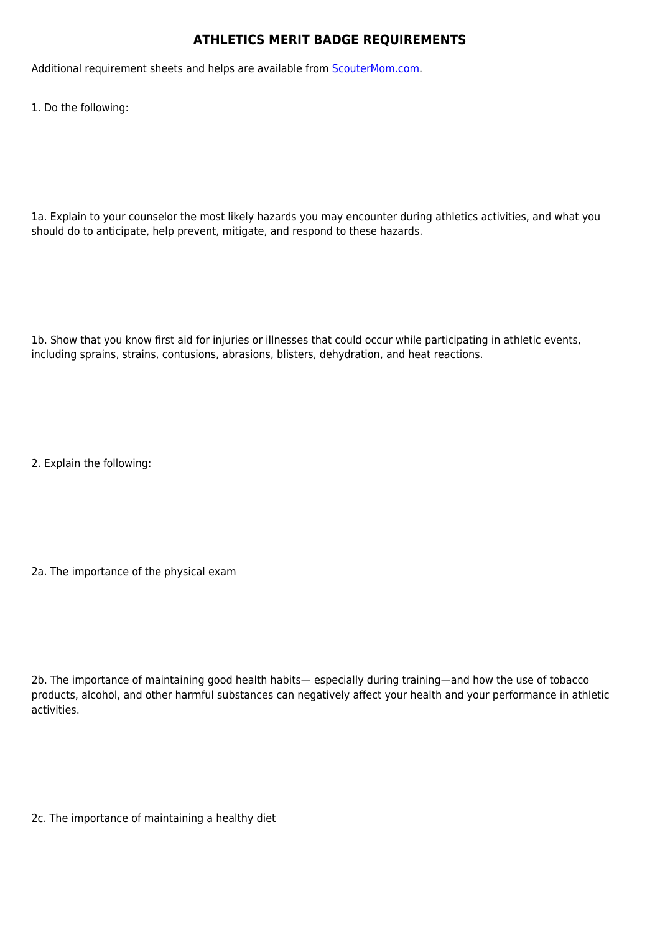## **ATHLETICS MERIT BADGE REQUIREMENTS**

Additional requirement sheets and helps are available from **[ScouterMom.com](http://scoutermom.com).** 

1. Do the following:

1a. Explain to your counselor the most likely hazards you may encounter during athletics activities, and what you should do to anticipate, help prevent, mitigate, and respond to these hazards.

1b. Show that you know first aid for injuries or illnesses that could occur while participating in athletic events, including sprains, strains, contusions, abrasions, blisters, dehydration, and heat reactions.

2. Explain the following:

2a. The importance of the physical exam

2b. The importance of maintaining good health habits— especially during training—and how the use of tobacco products, alcohol, and other harmful substances can negatively affect your health and your performance in athletic activities.

2c. The importance of maintaining a healthy diet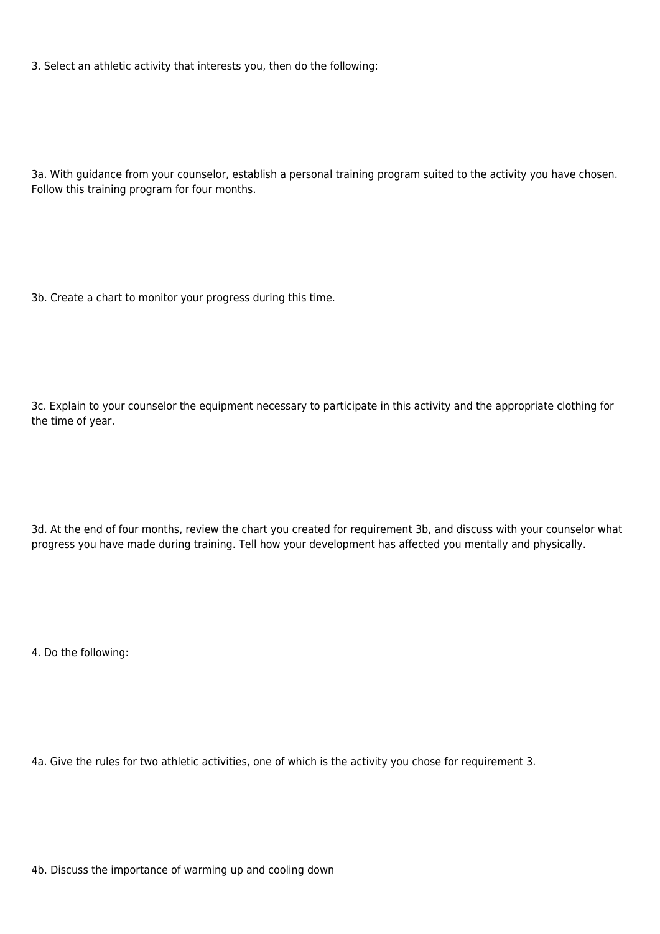3. Select an athletic activity that interests you, then do the following:

3a. With guidance from your counselor, establish a personal training program suited to the activity you have chosen. Follow this training program for four months.

3b. Create a chart to monitor your progress during this time.

3c. Explain to your counselor the equipment necessary to participate in this activity and the appropriate clothing for the time of year.

3d. At the end of four months, review the chart you created for requirement 3b, and discuss with your counselor what progress you have made during training. Tell how your development has affected you mentally and physically.

4. Do the following:

4a. Give the rules for two athletic activities, one of which is the activity you chose for requirement 3.

4b. Discuss the importance of warming up and cooling down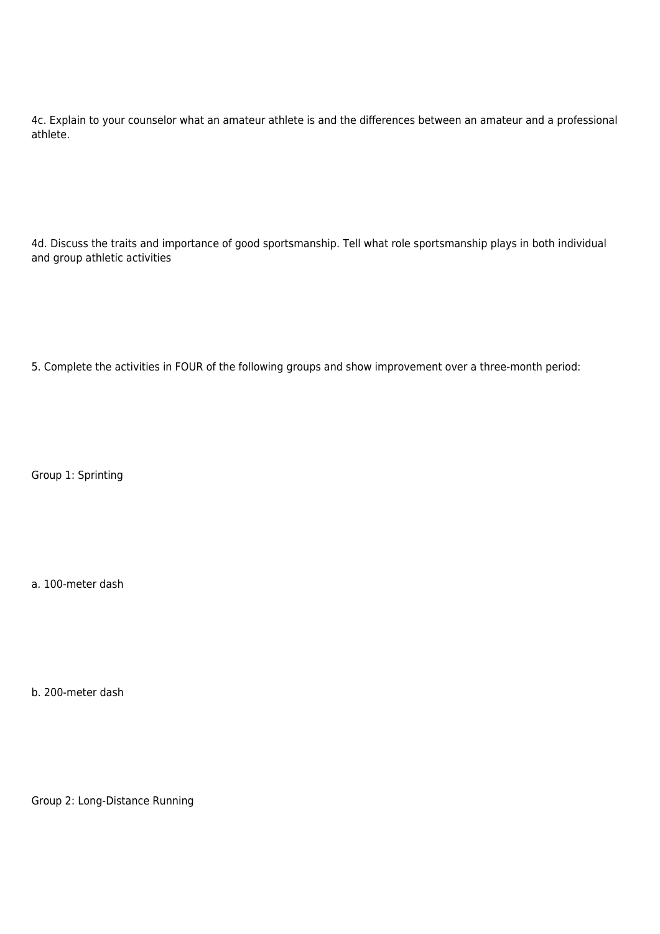4c. Explain to your counselor what an amateur athlete is and the differences between an amateur and a professional athlete.

4d. Discuss the traits and importance of good sportsmanship. Tell what role sportsmanship plays in both individual and group athletic activities

5. Complete the activities in FOUR of the following groups and show improvement over a three-month period:

Group 1: Sprinting

a. 100-meter dash

b. 200-meter dash

Group 2: Long-Distance Running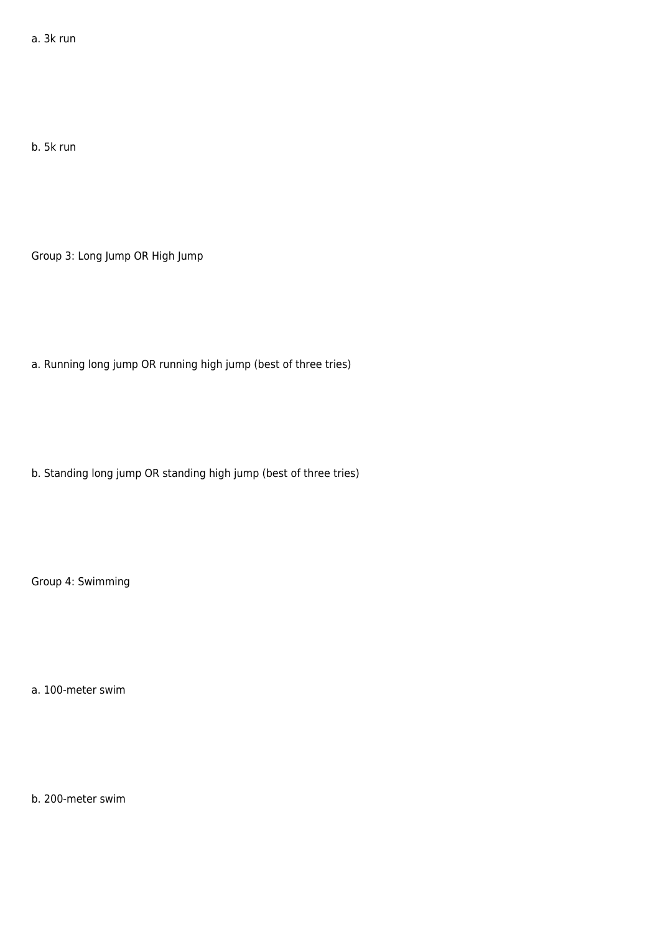a. 3k run

b. 5k run

Group 3: Long Jump OR High Jump

a. Running long jump OR running high jump (best of three tries)

b. Standing long jump OR standing high jump (best of three tries)

Group 4: Swimming

a. 100-meter swim

b. 200-meter swim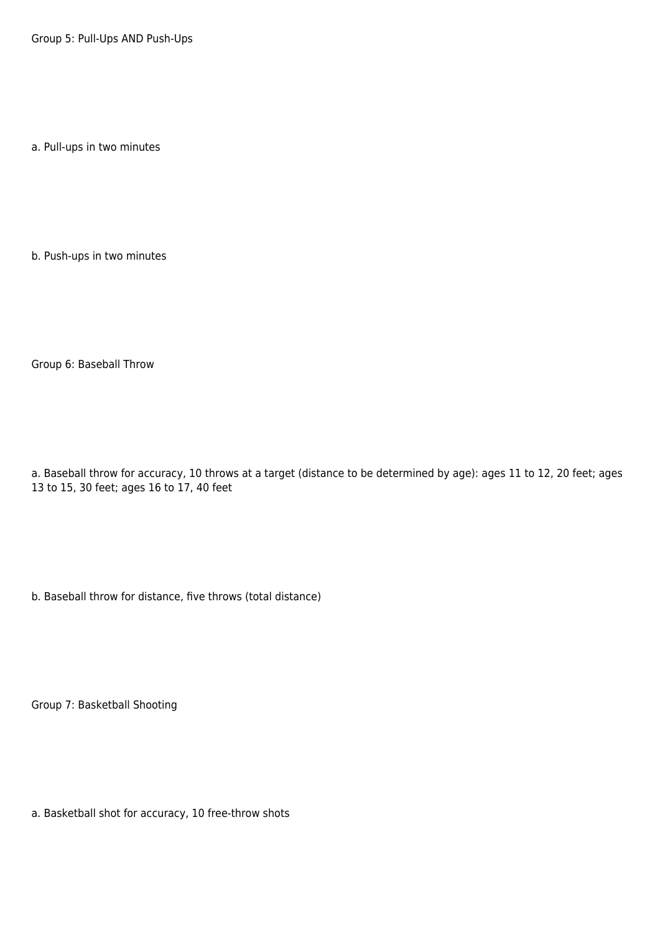Group 5: Pull-Ups AND Push-Ups

a. Pull-ups in two minutes

b. Push-ups in two minutes

Group 6: Baseball Throw

a. Baseball throw for accuracy, 10 throws at a target (distance to be determined by age): ages 11 to 12, 20 feet; ages 13 to 15, 30 feet; ages 16 to 17, 40 feet

b. Baseball throw for distance, five throws (total distance)

Group 7: Basketball Shooting

a. Basketball shot for accuracy, 10 free-throw shots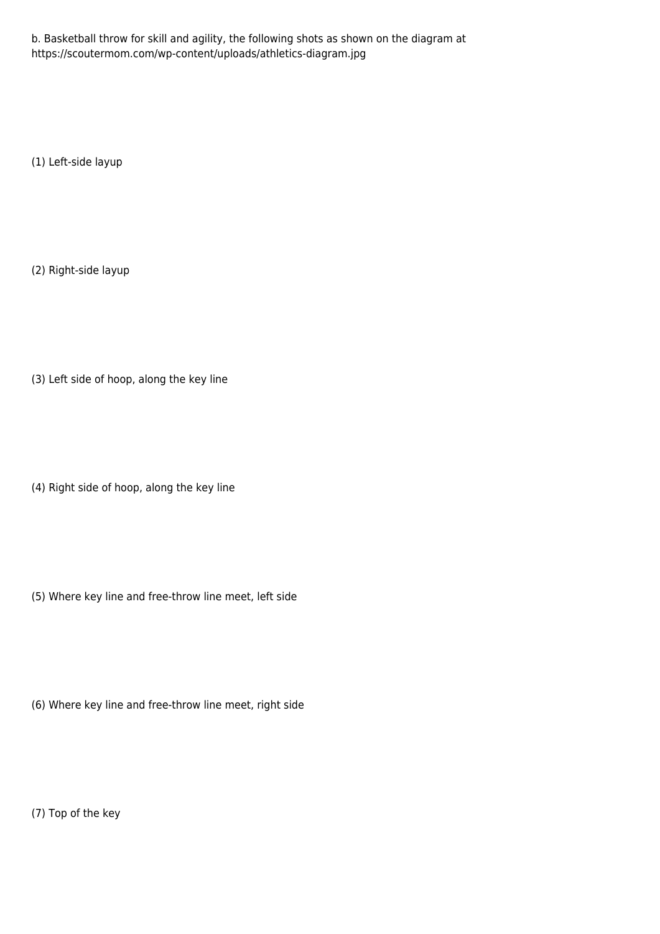b. Basketball throw for skill and agility, the following shots as shown on the diagram at https://scoutermom.com/wp-content/uploads/athletics-diagram.jpg

(1) Left-side layup

(2) Right-side layup

(3) Left side of hoop, along the key line

(4) Right side of hoop, along the key line

(5) Where key line and free-throw line meet, left side

(6) Where key line and free-throw line meet, right side

(7) Top of the key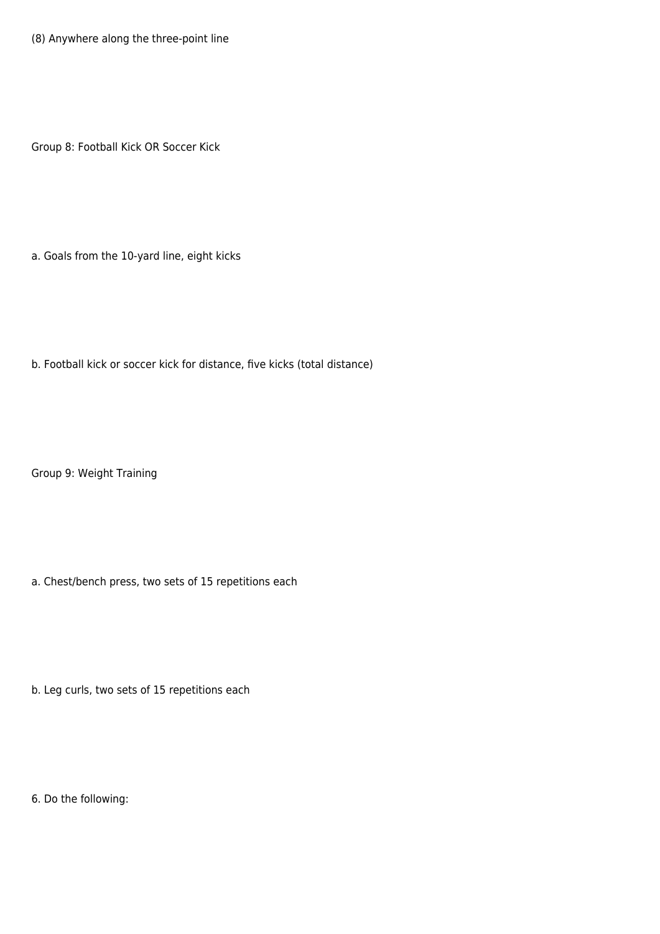(8) Anywhere along the three-point line

Group 8: Football Kick OR Soccer Kick

a. Goals from the 10-yard line, eight kicks

b. Football kick or soccer kick for distance, five kicks (total distance)

Group 9: Weight Training

a. Chest/bench press, two sets of 15 repetitions each

b. Leg curls, two sets of 15 repetitions each

6. Do the following: